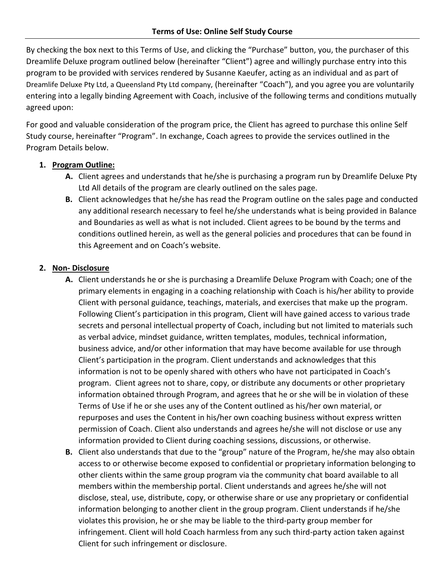By checking the box next to this Terms of Use, and clicking the "Purchase" button, you, the purchaser of this Dreamlife Deluxe program outlined below (hereinafter "Client") agree and willingly purchase entry into this program to be provided with services rendered by Susanne Kaeufer, acting as an individual and as part of Dreamlife Deluxe Pty Ltd, a Queensland Pty Ltd company, (hereinafter "Coach"), and you agree you are voluntarily entering into a legally binding Agreement with Coach, inclusive of the following terms and conditions mutually agreed upon:

For good and valuable consideration of the program price, the Client has agreed to purchase this online Self Study course, hereinafter "Program". In exchange, Coach agrees to provide the services outlined in the Program Details below.

## **1. Program Outline:**

- **A.** Client agrees and understands that he/she is purchasing a program run by Dreamlife Deluxe Pty Ltd All details of the program are clearly outlined on the sales page.
- **B.** Client acknowledges that he/she has read the Program outline on the sales page and conducted any additional research necessary to feel he/she understands what is being provided in Balance and Boundaries as well as what is not included. Client agrees to be bound by the terms and conditions outlined herein, as well as the general policies and procedures that can be found in this Agreement and on Coach's website.

## **2. Non- Disclosure**

- **A.** Client understands he or she is purchasing a Dreamlife Deluxe Program with Coach; one of the primary elements in engaging in a coaching relationship with Coach is his/her ability to provide Client with personal guidance, teachings, materials, and exercises that make up the program. Following Client's participation in this program, Client will have gained access to various trade secrets and personal intellectual property of Coach, including but not limited to materials such as verbal advice, mindset guidance, written templates, modules, technical information, business advice, and/or other information that may have become available for use through Client's participation in the program. Client understands and acknowledges that this information is not to be openly shared with others who have not participated in Coach's program. Client agrees not to share, copy, or distribute any documents or other proprietary information obtained through Program, and agrees that he or she will be in violation of these Terms of Use if he or she uses any of the Content outlined as his/her own material, or repurposes and uses the Content in his/her own coaching business without express written permission of Coach. Client also understands and agrees he/she will not disclose or use any information provided to Client during coaching sessions, discussions, or otherwise.
- **B.** Client also understands that due to the "group" nature of the Program, he/she may also obtain access to or otherwise become exposed to confidential or proprietary information belonging to other clients within the same group program via the community chat board available to all members within the membership portal. Client understands and agrees he/she will not disclose, steal, use, distribute, copy, or otherwise share or use any proprietary or confidential information belonging to another client in the group program. Client understands if he/she violates this provision, he or she may be liable to the third-party group member for infringement. Client will hold Coach harmless from any such third-party action taken against Client for such infringement or disclosure.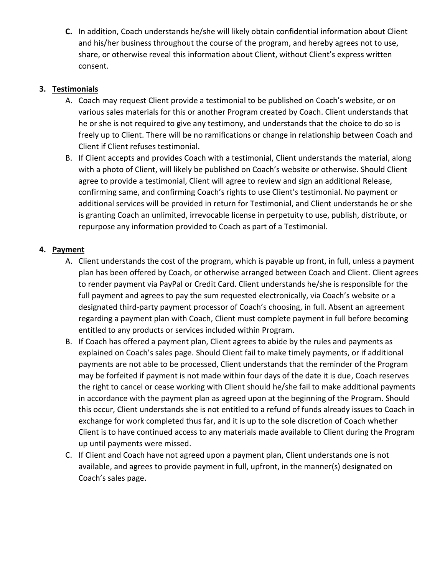**C.** In addition, Coach understands he/she will likely obtain confidential information about Client and his/her business throughout the course of the program, and hereby agrees not to use, share, or otherwise reveal this information about Client, without Client's express written consent.

## **3. Testimonials**

- A. Coach may request Client provide a testimonial to be published on Coach's website, or on various sales materials for this or another Program created by Coach. Client understands that he or she is not required to give any testimony, and understands that the choice to do so is freely up to Client. There will be no ramifications or change in relationship between Coach and Client if Client refuses testimonial.
- B. If Client accepts and provides Coach with a testimonial, Client understands the material, along with a photo of Client, will likely be published on Coach's website or otherwise. Should Client agree to provide a testimonial, Client will agree to review and sign an additional Release, confirming same, and confirming Coach's rights to use Client's testimonial. No payment or additional services will be provided in return for Testimonial, and Client understands he or she is granting Coach an unlimited, irrevocable license in perpetuity to use, publish, distribute, or repurpose any information provided to Coach as part of a Testimonial.

# **4. Payment**

- A. Client understands the cost of the program, which is payable up front, in full, unless a payment plan has been offered by Coach, or otherwise arranged between Coach and Client. Client agrees to render payment via PayPal or Credit Card. Client understands he/she is responsible for the full payment and agrees to pay the sum requested electronically, via Coach's website or a designated third-party payment processor of Coach's choosing, in full. Absent an agreement regarding a payment plan with Coach, Client must complete payment in full before becoming entitled to any products or services included within Program.
- B. If Coach has offered a payment plan, Client agrees to abide by the rules and payments as explained on Coach's sales page. Should Client fail to make timely payments, or if additional payments are not able to be processed, Client understands that the reminder of the Program may be forfeited if payment is not made within four days of the date it is due, Coach reserves the right to cancel or cease working with Client should he/she fail to make additional payments in accordance with the payment plan as agreed upon at the beginning of the Program. Should this occur, Client understands she is not entitled to a refund of funds already issues to Coach in exchange for work completed thus far, and it is up to the sole discretion of Coach whether Client is to have continued access to any materials made available to Client during the Program up until payments were missed.
- C. If Client and Coach have not agreed upon a payment plan, Client understands one is not available, and agrees to provide payment in full, upfront, in the manner(s) designated on Coach's sales page.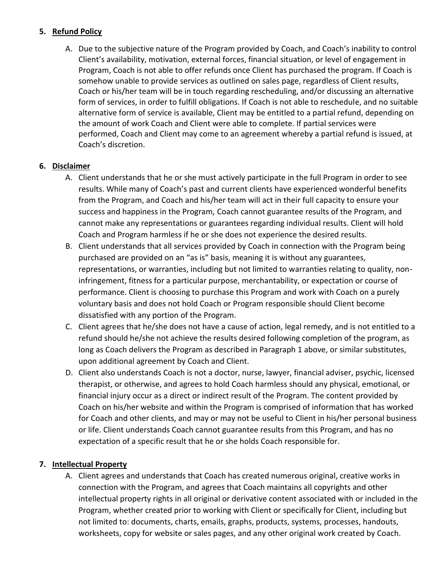### **5. Refund Policy**

A. Due to the subjective nature of the Program provided by Coach, and Coach's inability to control Client's availability, motivation, external forces, financial situation, or level of engagement in Program, Coach is not able to offer refunds once Client has purchased the program. If Coach is somehow unable to provide services as outlined on sales page, regardless of Client results, Coach or his/her team will be in touch regarding rescheduling, and/or discussing an alternative form of services, in order to fulfill obligations. If Coach is not able to reschedule, and no suitable alternative form of service is available, Client may be entitled to a partial refund, depending on the amount of work Coach and Client were able to complete. If partial services were performed, Coach and Client may come to an agreement whereby a partial refund is issued, at Coach's discretion.

## **6. Disclaimer**

- A. Client understands that he or she must actively participate in the full Program in order to see results. While many of Coach's past and current clients have experienced wonderful benefits from the Program, and Coach and his/her team will act in their full capacity to ensure your success and happiness in the Program, Coach cannot guarantee results of the Program, and cannot make any representations or guarantees regarding individual results. Client will hold Coach and Program harmless if he or she does not experience the desired results.
- B. Client understands that all services provided by Coach in connection with the Program being purchased are provided on an "as is" basis, meaning it is without any guarantees, representations, or warranties, including but not limited to warranties relating to quality, noninfringement, fitness for a particular purpose, merchantability, or expectation or course of performance. Client is choosing to purchase this Program and work with Coach on a purely voluntary basis and does not hold Coach or Program responsible should Client become dissatisfied with any portion of the Program.
- C. Client agrees that he/she does not have a cause of action, legal remedy, and is not entitled to a refund should he/she not achieve the results desired following completion of the program, as long as Coach delivers the Program as described in Paragraph 1 above, or similar substitutes, upon additional agreement by Coach and Client.
- D. Client also understands Coach is not a doctor, nurse, lawyer, financial adviser, psychic, licensed therapist, or otherwise, and agrees to hold Coach harmless should any physical, emotional, or financial injury occur as a direct or indirect result of the Program. The content provided by Coach on his/her website and within the Program is comprised of information that has worked for Coach and other clients, and may or may not be useful to Client in his/her personal business or life. Client understands Coach cannot guarantee results from this Program, and has no expectation of a specific result that he or she holds Coach responsible for.

### **7. Intellectual Property**

A. Client agrees and understands that Coach has created numerous original, creative works in connection with the Program, and agrees that Coach maintains all copyrights and other intellectual property rights in all original or derivative content associated with or included in the Program, whether created prior to working with Client or specifically for Client, including but not limited to: documents, charts, emails, graphs, products, systems, processes, handouts, worksheets, copy for website or sales pages, and any other original work created by Coach.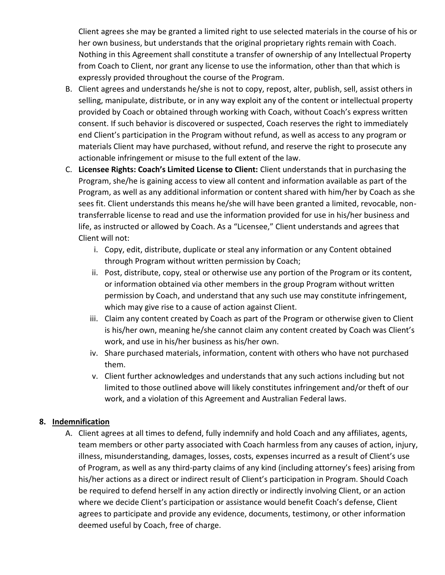Client agrees she may be granted a limited right to use selected materials in the course of his or her own business, but understands that the original proprietary rights remain with Coach. Nothing in this Agreement shall constitute a transfer of ownership of any Intellectual Property from Coach to Client, nor grant any license to use the information, other than that which is expressly provided throughout the course of the Program.

- B. Client agrees and understands he/she is not to copy, repost, alter, publish, sell, assist others in selling, manipulate, distribute, or in any way exploit any of the content or intellectual property provided by Coach or obtained through working with Coach, without Coach's express written consent. If such behavior is discovered or suspected, Coach reserves the right to immediately end Client's participation in the Program without refund, as well as access to any program or materials Client may have purchased, without refund, and reserve the right to prosecute any actionable infringement or misuse to the full extent of the law.
- C. **Licensee Rights: Coach's Limited License to Client:** Client understands that in purchasing the Program, she/he is gaining access to view all content and information available as part of the Program, as well as any additional information or content shared with him/her by Coach as she sees fit. Client understands this means he/she will have been granted a limited, revocable, nontransferrable license to read and use the information provided for use in his/her business and life, as instructed or allowed by Coach. As a "Licensee," Client understands and agrees that Client will not:
	- i. Copy, edit, distribute, duplicate or steal any information or any Content obtained through Program without written permission by Coach;
	- ii. Post, distribute, copy, steal or otherwise use any portion of the Program or its content, or information obtained via other members in the group Program without written permission by Coach, and understand that any such use may constitute infringement, which may give rise to a cause of action against Client.
	- iii. Claim any content created by Coach as part of the Program or otherwise given to Client is his/her own, meaning he/she cannot claim any content created by Coach was Client's work, and use in his/her business as his/her own.
	- iv. Share purchased materials, information, content with others who have not purchased them.
	- v. Client further acknowledges and understands that any such actions including but not limited to those outlined above will likely constitutes infringement and/or theft of our work, and a violation of this Agreement and Australian Federal laws.

### **8. Indemnification**

A. Client agrees at all times to defend, fully indemnify and hold Coach and any affiliates, agents, team members or other party associated with Coach harmless from any causes of action, injury, illness, misunderstanding, damages, losses, costs, expenses incurred as a result of Client's use of Program, as well as any third-party claims of any kind (including attorney's fees) arising from his/her actions as a direct or indirect result of Client's participation in Program. Should Coach be required to defend herself in any action directly or indirectly involving Client, or an action where we decide Client's participation or assistance would benefit Coach's defense, Client agrees to participate and provide any evidence, documents, testimony, or other information deemed useful by Coach, free of charge.